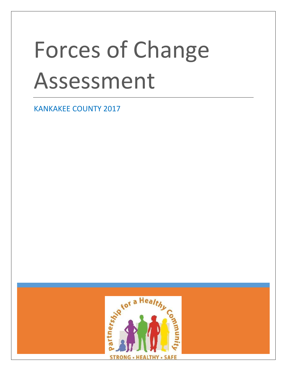# Forces of Change Assessment

KANKAKEE COUNTY 2017

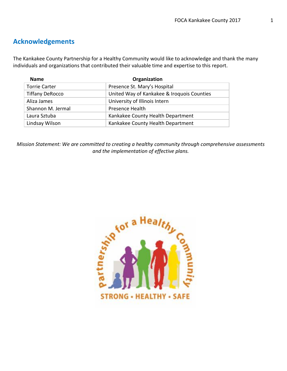## **Acknowledgements**

The Kankakee County Partnership for a Healthy Community would like to acknowledge and thank the many individuals and organizations that contributed their valuable time and expertise to this report.

| <b>Name</b>            | Organization                               |
|------------------------|--------------------------------------------|
| <b>Torrie Carter</b>   | Presence St. Mary's Hospital               |
| <b>Tiffany DeRocco</b> | United Way of Kankakee & Iroquois Counties |
| Aliza James            | University of Illinois Intern              |
| Shannon M. Jermal      | <b>Presence Health</b>                     |
| Laura Sztuba           | Kankakee County Health Department          |
| Lindsay Wilson         | Kankakee County Health Department          |

*Mission Statement: We are committed to creating a healthy community through comprehensive assessments and the implementation of effective plans.*

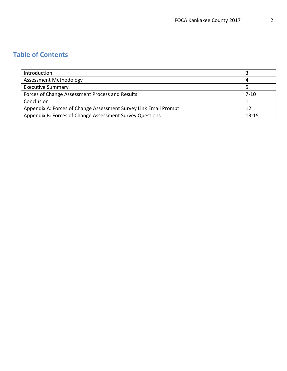# **Table of Contents**

| Introduction                                                     |          |
|------------------------------------------------------------------|----------|
| <b>Assessment Methodology</b>                                    | 4        |
| <b>Executive Summary</b>                                         |          |
| Forces of Change Assessment Process and Results                  | $7 - 10$ |
| Conclusion                                                       | 11       |
| Appendix A: Forces of Change Assessment Survey Link Email Prompt |          |
| Appendix B: Forces of Change Assessment Survey Questions         |          |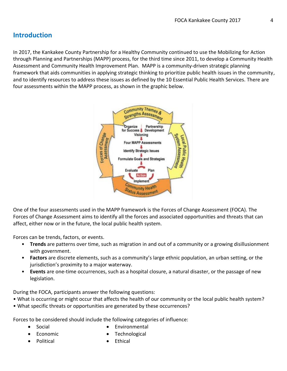# **Introduction**

In 2017, the Kankakee County Partnership for a Healthy Community continued to use the Mobilizing for Action through Planning and Partnerships (MAPP) process, for the third time since 2011, to develop a Community Health Assessment and Community Health Improvement Plan. MAPP is a community-driven strategic planning framework that aids communities in applying strategic thinking to prioritize public health issues in the community, and to identify resources to address these issues as defined by the 10 Essential Public Health Services. There are four assessments within the MAPP process, as shown in the graphic below.



One of the four assessments used in the MAPP framework is the Forces of Change Assessment (FOCA). The Forces of Change Assessment aims to identify all the forces and associated opportunities and threats that can affect, either now or in the future, the local public health system.

Forces can be trends, factors, or events.

- **Trends** are patterns over time, such as migration in and out of a community or a growing disillusionment with government.
- **Factors** are discrete elements, such as a community's large ethnic population, an urban setting, or the jurisdiction's proximity to a major waterway.
- **Events** are one-time occurrences, such as a hospital closure, a natural disaster, or the passage of new legislation.

During the FOCA, participants answer the following questions:

- What is occurring or might occur that affects the health of our community or the local public health system?
- What specific threats or opportunities are generated by these occurrences?

Forces to be considered should include the following categories of influence:

• Social

**Environmental** 

• Economic

• Technological

• Political

• Ethical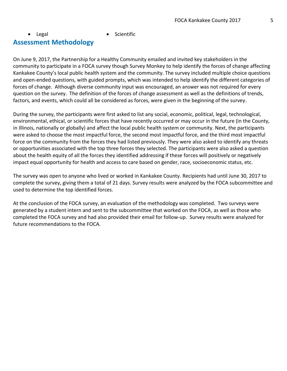## • Legal • Scientific **Assessment Methodology**

On June 9, 2017, the Partnership for a Healthy Community emailed and invited key stakeholders in the community to participate in a FOCA survey though Survey Monkey to help identify the forces of change affecting Kankakee County's local public health system and the community. The survey included multiple choice questions and open-ended questions, with guided prompts, which was intended to help identify the different categories of forces of change. Although diverse community input was encouraged, an answer was not required for every question on the survey. The definition of the forces of change assessment as well as the definitions of trends, factors, and events, which could all be considered as forces, were given in the beginning of the survey.

During the survey, the participants were first asked to list any social, economic, political, legal, technological, environmental, ethical, or scientific forces that have recently occurred or may occur in the future (in the County, in Illinois, nationally or globally) and affect the local public health system or community. Next, the participants were asked to choose the most impactful force, the second most impactful force, and the third most impactful force on the community from the forces they had listed previously. They were also asked to identify any threats or opportunities associated with the top three forces they selected. The participants were also asked a question about the health equity of all the forces they identified addressing if these forces will positively or negatively impact equal opportunity for health and access to care based on gender, race, socioeconomic status, etc.

The survey was open to anyone who lived or worked in Kankakee County. Recipients had until June 30, 2017 to complete the survey, giving them a total of 21 days. Survey results were analyzed by the FOCA subcommittee and used to determine the top identified forces.

At the conclusion of the FOCA survey, an evaluation of the methodology was completed. Two surveys were generated by a student intern and sent to the subcommittee that worked on the FOCA, as well as those who completed the FOCA survey and had also provided their email for follow-up. Survey results were analyzed for future recommendations to the FOCA.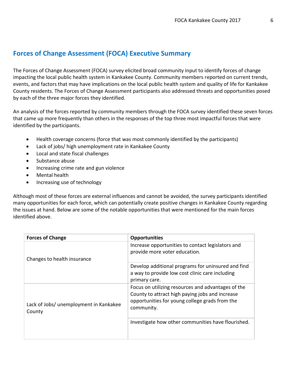## **Forces of Change Assessment (FOCA) Executive Summary**

The Forces of Change Assessment (FOCA) survey elicited broad community input to identify forces of change impacting the local public health system in Kankakee County. Community members reported on current trends, events, and factors that may have implications on the local public health system and quality of life for Kankakee County residents. The Forces of Change Assessment participants also addressed threats and opportunities posed by each of the three major forces they identified.

An analysis of the forces reported by community members through the FOCA survey identified these seven forces that came up more frequently than others in the responses of the top three most impactful forces that were identified by the participants.

- Health coverage concerns (force that was most commonly identified by the participants)
- Lack of jobs/ high unemployment rate in Kankakee County
- Local and state fiscal challenges
- Substance abuse
- Increasing crime rate and gun violence
- Mental health
- Increasing use of technology

Although most of these forces are external influences and cannot be avoided, the survey participants identified many opportunities for each force, which can potentially create positive changes in Kankakee County regarding the issues at hand. Below are some of the notable opportunities that were mentioned for the main forces identified above.

| <b>Forces of Change</b>                          | <b>Opportunities</b>                                                                                                                                                  |
|--------------------------------------------------|-----------------------------------------------------------------------------------------------------------------------------------------------------------------------|
| Changes to health insurance                      | Increase opportunities to contact legislators and<br>provide more voter education.                                                                                    |
|                                                  | Develop additional programs for uninsured and find<br>a way to provide low cost clinic care including<br>primary care.                                                |
| Lack of Jobs/ unemployment in Kankakee<br>County | Focus on utilizing resources and advantages of the<br>County to attract high paying jobs and increase<br>opportunities for young college grads from the<br>community. |
|                                                  | Investigate how other communities have flourished.                                                                                                                    |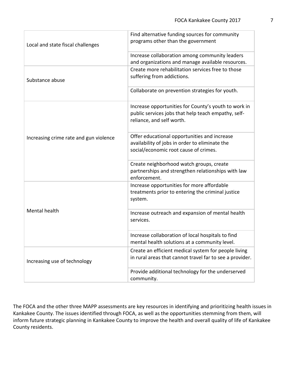| Local and state fiscal challenges      | Find alternative funding sources for community<br>programs other than the government                                                     |
|----------------------------------------|------------------------------------------------------------------------------------------------------------------------------------------|
|                                        | Increase collaboration among community leaders<br>and organizations and manage available resources.                                      |
| Substance abuse                        | Create more rehabilitation services free to those<br>suffering from addictions.                                                          |
|                                        | Collaborate on prevention strategies for youth.                                                                                          |
|                                        | Increase opportunities for County's youth to work in<br>public services jobs that help teach empathy, self-<br>reliance, and self worth. |
| Increasing crime rate and gun violence | Offer educational opportunities and increase<br>availability of jobs in order to eliminate the<br>social/economic root cause of crimes.  |
|                                        | Create neighborhood watch groups, create<br>partnerships and strengthen relationships with law<br>enforcement.                           |
|                                        | Increase opportunities for more affordable<br>treatments prior to entering the criminal justice<br>system.                               |
| Mental health                          | Increase outreach and expansion of mental health<br>services.                                                                            |
|                                        | Increase collaboration of local hospitals to find<br>mental health solutions at a community level.                                       |
| Increasing use of technology           | Create an efficient medical system for people living<br>in rural areas that cannot travel far to see a provider.                         |
|                                        | Provide additional technology for the underserved<br>community.                                                                          |

The FOCA and the other three MAPP assessments are key resources in identifying and prioritizing health issues in Kankakee County. The issues identified through FOCA, as well as the opportunities stemming from them, will inform future strategic planning in Kankakee County to improve the health and overall quality of life of Kankakee County residents.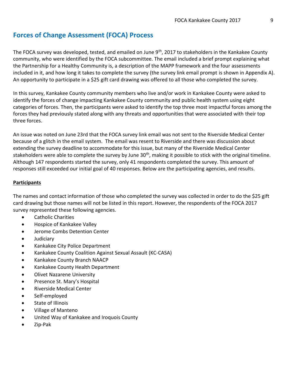The FOCA survey was developed, tested, and emailed on June 9<sup>th</sup>, 2017 to stakeholders in the Kankakee County community, who were identified by the FOCA subcommittee. The email included a brief prompt explaining what the Partnership for a Healthy Community is, a description of the MAPP framework and the four assessments included in it, and how long it takes to complete the survey (the survey link email prompt is shown in Appendix A). An opportunity to participate in a \$25 gift card drawing was offered to all those who completed the survey.

In this survey, Kankakee County community members who live and/or work in Kankakee County were asked to identify the forces of change impacting Kankakee County community and public health system using eight categories of forces. Then, the participants were asked to identify the top three most impactful forces among the forces they had previously stated along with any threats and opportunities that were associated with their top three forces.

An issue was noted on June 23rd that the FOCA survey link email was not sent to the Riverside Medical Center because of a glitch in the email system. The email was resent to Riverside and there was discussion about extending the survey deadline to accommodate for this issue, but many of the Riverside Medical Center stakeholders were able to complete the survey by June 30<sup>th</sup>, making it possible to stick with the original timeline. Although 147 respondents started the survey, only 41 respondents completed the survey. This amount of responses still exceeded our initial goal of 40 responses. Below are the participating agencies, and results.

### **Participants**

The names and contact information of those who completed the survey was collected in order to do the \$25 gift card drawing but those names will not be listed in this report. However, the respondents of the FOCA 2017 survey represented these following agencies.

- Catholic Charities
- Hospice of Kankakee Valley
- Jerome Combs Detention Center
- Judiciary
- Kankakee City Police Department
- Kankakee County Coalition Against Sexual Assault (KC-CASA)
- Kankakee County Branch NAACP
- Kankakee County Health Department
- Olivet Nazarene University
- Presence St. Mary's Hospital
- Riverside Medical Center
- Self-employed
- State of Illinois
- Village of Manteno
- United Way of Kankakee and Iroquois County
- Zip-Pak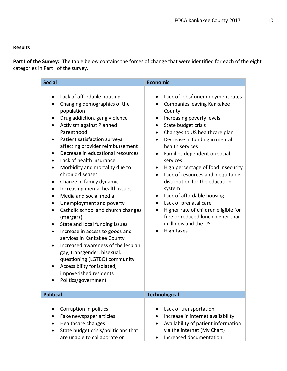## **Results**

**Part I of the Survey:** The table below contains the forces of change that were identified for each of the eight categories in Part I of the survey.

| <b>Social</b>                                                                                                                                                                                                                                                                                                                                                                                                                                                                                                                                                                                              |                                                                                                                                                                                                                                                           | <b>Economic</b>                                                                                                                                                                                                                                                                                                                                                                                                                                                                                                                                                                                                                                     |
|------------------------------------------------------------------------------------------------------------------------------------------------------------------------------------------------------------------------------------------------------------------------------------------------------------------------------------------------------------------------------------------------------------------------------------------------------------------------------------------------------------------------------------------------------------------------------------------------------------|-----------------------------------------------------------------------------------------------------------------------------------------------------------------------------------------------------------------------------------------------------------|-----------------------------------------------------------------------------------------------------------------------------------------------------------------------------------------------------------------------------------------------------------------------------------------------------------------------------------------------------------------------------------------------------------------------------------------------------------------------------------------------------------------------------------------------------------------------------------------------------------------------------------------------------|
| Lack of affordable housing<br>$\bullet$<br>Changing demographics of the<br>population<br>Drug addiction, gang violence<br>Activism against Planned<br>Parenthood<br>Patient satisfaction surveys<br>٠<br>$\bullet$<br>Lack of health insurance<br>Morbidity and mortality due to<br>٠<br>chronic diseases<br>Change in family dynamic<br>$\bullet$<br>٠<br>Media and social media<br>Unemployment and poverty<br>(mergers)<br>State and local funding issues<br>services in Kankakee County<br>gay, transgender, bisexual,<br>Accessibility for isolated,<br>impoverished residents<br>Politics/government | affecting provider reimbursement<br>Decrease in educational resources<br>Increasing mental health issues<br>Catholic school and church changes<br>Increase in access to goods and<br>Increased awareness of the lesbian,<br>questioning (LGTBQ) community | Lack of jobs/ unemployment rates<br>Companies leaving Kankakee<br>County<br>Increasing poverty levels<br>State budget crisis<br>Changes to US healthcare plan<br>Decrease in funding in mental<br>$\bullet$<br>health services<br>Families dependent on social<br>$\bullet$<br>services<br>High percentage of food insecurity<br>$\bullet$<br>Lack of resources and inequitable<br>$\bullet$<br>distribution for the education<br>system<br>Lack of affordable housing<br>$\bullet$<br>Lack of prenatal care<br>٠<br>Higher rate of children eligible for<br>$\bullet$<br>free or reduced lunch higher than<br>in Illinois and the US<br>High taxes |
| <b>Political</b>                                                                                                                                                                                                                                                                                                                                                                                                                                                                                                                                                                                           |                                                                                                                                                                                                                                                           | <b>Technological</b>                                                                                                                                                                                                                                                                                                                                                                                                                                                                                                                                                                                                                                |
| Corruption in politics<br>Fake newspaper articles<br>Healthcare changes<br>are unable to collaborate or                                                                                                                                                                                                                                                                                                                                                                                                                                                                                                    | State budget crisis/politicians that                                                                                                                                                                                                                      | Lack of transportation<br>Increase in internet availability<br>Availability of patient information<br>via the internet (My Chart)<br>Increased documentation                                                                                                                                                                                                                                                                                                                                                                                                                                                                                        |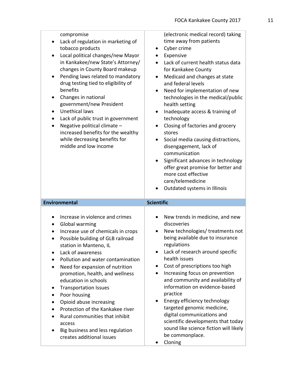| compromise<br>Lack of regulation in marketing of<br>$\bullet$<br>tobacco products<br>Local political changes/new Mayor<br>$\bullet$<br>in Kankakee/new State's Attorney/<br>changes in County Board makeup<br>Pending laws related to mandatory<br>٠<br>drug testing tied to eligibility of<br>benefits<br>Changes in national<br>$\bullet$<br>government/new President<br><b>Unethical laws</b><br>$\bullet$<br>Lack of public trust in government<br>٠<br>Negative political climate -<br>$\bullet$<br>increased benefits for the wealthy<br>while decreasing benefits for<br>middle and low income | (electronic medical record) taking<br>time away from patients<br>Cyber crime<br>٠<br>Expensive<br>Lack of current health status data<br>for Kankakee County<br>Medicaid and changes at state<br>and federal levels<br>Need for implementation of new<br>technologies in the medical/public<br>health setting<br>Inadequate access & training of<br>٠<br>technology<br>Closing of factories and grocery<br>٠<br>stores<br>Social media causing distractions,<br>٠<br>disengagement, lack of<br>communication<br>Significant advances in technology<br>offer great promise for better and<br>more cost effective<br>care/telemedicine<br>Outdated systems in Illinois |
|-------------------------------------------------------------------------------------------------------------------------------------------------------------------------------------------------------------------------------------------------------------------------------------------------------------------------------------------------------------------------------------------------------------------------------------------------------------------------------------------------------------------------------------------------------------------------------------------------------|---------------------------------------------------------------------------------------------------------------------------------------------------------------------------------------------------------------------------------------------------------------------------------------------------------------------------------------------------------------------------------------------------------------------------------------------------------------------------------------------------------------------------------------------------------------------------------------------------------------------------------------------------------------------|
| <b>Environmental</b>                                                                                                                                                                                                                                                                                                                                                                                                                                                                                                                                                                                  | <b>Scientific</b>                                                                                                                                                                                                                                                                                                                                                                                                                                                                                                                                                                                                                                                   |
|                                                                                                                                                                                                                                                                                                                                                                                                                                                                                                                                                                                                       |                                                                                                                                                                                                                                                                                                                                                                                                                                                                                                                                                                                                                                                                     |
| Increase in violence and crimes<br>Global warming<br>$\bullet$<br>Increase use of chemicals in crops<br>Possible building of GLB railroad<br>station in Manteno, IL<br>Lack of awareness<br>$\bullet$<br>Pollution and water contamination<br>$\bullet$<br>Need for expansion of nutrition<br>$\bullet$<br>promotion, health, and wellness<br>education in schools<br><b>Transportation Issues</b><br>٠<br>Poor housing<br>٠<br>Opioid abuse increasing<br>٠<br>Protection of the Kankakee river<br>Rural communities that inhibit<br>$\bullet$<br>access                                             | New trends in medicine, and new<br>discoveries<br>New technologies/ treatments not<br>being available due to insurance<br>regulations<br>Lack of research around specific<br>٠<br>health issues<br>Cost of prescriptions too high<br>Increasing focus on prevention<br>and community and availability of<br>information on evidence-based<br>practice<br>Energy efficiency technology<br>targeted genomic medicine,<br>digital communications and                                                                                                                                                                                                                   |

• Cloning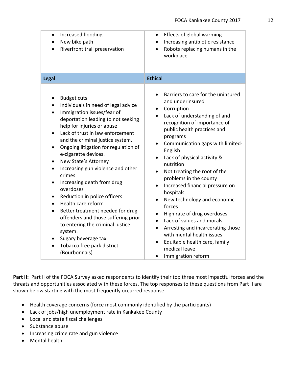| Increased flooding<br>$\bullet$<br>New bike path<br>Riverfront trail preservation                                                                                                                                                                                                                                                                                                                                                                                                                                                                                                                                                                                                                                  | Effects of global warming<br>$\bullet$<br>Increasing antibiotic resistance<br>$\bullet$<br>Robots replacing humans in the<br>workplace                                                                                                                                                                                                                                                                                                                                                                                                                                                                                                                                                                                                                   |
|--------------------------------------------------------------------------------------------------------------------------------------------------------------------------------------------------------------------------------------------------------------------------------------------------------------------------------------------------------------------------------------------------------------------------------------------------------------------------------------------------------------------------------------------------------------------------------------------------------------------------------------------------------------------------------------------------------------------|----------------------------------------------------------------------------------------------------------------------------------------------------------------------------------------------------------------------------------------------------------------------------------------------------------------------------------------------------------------------------------------------------------------------------------------------------------------------------------------------------------------------------------------------------------------------------------------------------------------------------------------------------------------------------------------------------------------------------------------------------------|
| Legal                                                                                                                                                                                                                                                                                                                                                                                                                                                                                                                                                                                                                                                                                                              | <b>Ethical</b>                                                                                                                                                                                                                                                                                                                                                                                                                                                                                                                                                                                                                                                                                                                                           |
| <b>Budget cuts</b><br>$\bullet$<br>Individuals in need of legal advice<br>Immigration issues/fear of<br>deportation leading to not seeking<br>help for injuries or abuse<br>Lack of trust in law enforcement<br>and the criminal justice system.<br>Ongoing litigation for regulation of<br>$\bullet$<br>e-cigarette devices.<br>New State's Attorney<br>$\bullet$<br>Increasing gun violence and other<br>crimes<br>Increasing death from drug<br>overdoses<br>Reduction in police officers<br>Health care reform<br>Better treatment needed for drug<br>offenders and those suffering prior<br>to entering the criminal justice<br>system.<br>Sugary beverage tax<br>Tobacco free park district<br>(Bourbonnais) | Barriers to care for the uninsured<br>and underinsured<br>Corruption<br>Lack of understanding of and<br>$\bullet$<br>recognition of importance of<br>public health practices and<br>programs<br>Communication gaps with limited-<br>$\bullet$<br>English<br>Lack of physical activity &<br>$\bullet$<br>nutrition<br>Not treating the root of the<br>$\bullet$<br>problems in the county<br>Increased financial pressure on<br>hospitals<br>New technology and economic<br>$\bullet$<br>forces<br>High rate of drug overdoses<br>Lack of values and morals<br>$\bullet$<br>Arresting and incarcerating those<br>$\bullet$<br>with mental health issues<br>Equitable health care, family<br>$\bullet$<br>medical leave<br>Immigration reform<br>$\bullet$ |

Part II: Part II of the FOCA Survey asked respondents to identify their top three most impactful forces and the threats and opportunities associated with these forces. The top responses to these questions from Part II are shown below starting with the most frequently occurred response.

- Health coverage concerns (force most commonly identified by the participants)
- Lack of jobs/high unemployment rate in Kankakee County
- Local and state fiscal challenges
- Substance abuse
- Increasing crime rate and gun violence
- Mental health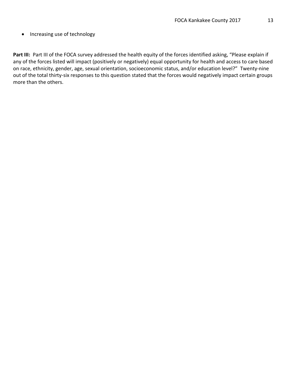Part III: Part III of the FOCA survey addressed the health equity of the forces identified asking, "Please explain if any of the forces listed will impact (positively or negatively) equal opportunity for health and access to care based on race, ethnicity, gender, age, sexual orientation, socioeconomic status, and/or education level?" Twenty-nine out of the total thirty-six responses to this question stated that the forces would negatively impact certain groups more than the others.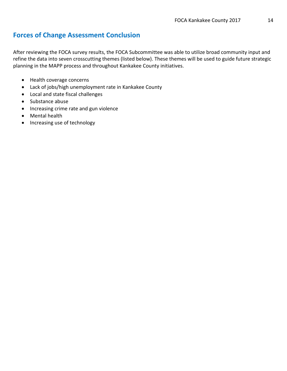## **Forces of Change Assessment Conclusion**

After reviewing the FOCA survey results, the FOCA Subcommittee was able to utilize broad community input and refine the data into seven crosscutting themes (listed below). These themes will be used to guide future strategic planning in the MAPP process and throughout Kankakee County initiatives.

- Health coverage concerns
- Lack of jobs/high unemployment rate in Kankakee County
- Local and state fiscal challenges
- Substance abuse
- Increasing crime rate and gun violence
- Mental health
- Increasing use of technology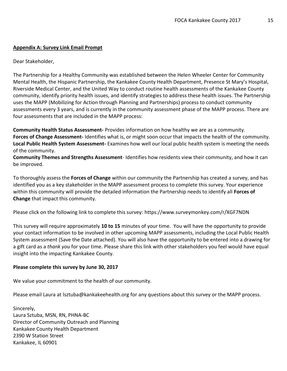#### **Appendix A: Survey Link Email Prompt**

#### Dear Stakeholder,

The Partnership for a Healthy Community was established between the Helen Wheeler Center for Community Mental Health, the Hispanic Partnership, the Kankakee County Health Department, Presence St Mary's Hospital, Riverside Medical Center, and the United Way to conduct routine health assessments of the Kankakee County community, identify priority health issues, and identify strategies to address these health issues. The Partnership uses the MAPP (Mobilizing for Action through Planning and Partnerships) process to conduct community assessments every 3 years, and is currently in the community assessment phase of the MAPP process. There are four assessments that are included in the MAPP process:

**Community Health Status Assessment-** Provides information on how healthy we are as a community. **Forces of Change Assessment-** Identifies what is, or might soon occur that impacts the health of the community. **Local Public Health System Assessment-** Examines how well our local public health system is meeting the needs of the community.

**Community Themes and Strengths Assessment**- Identifies how residents view their community, and how it can be improved.

To thoroughly assess the **Forces of Change** within our community the Partnership has created a survey, and has identified you as a key stakeholder in the MAPP assessment process to complete this survey. Your experience within this community will provide the detailed information the Partnership needs to identify all **Forces of Change** that impact this community.

Please click on the following link to complete this survey: https://www.surveymonkey.com/r/XGF7NDN

This survey will require approximately **10 to 15** minutes of your time. You will have the opportunity to provide your contact information to be involved in other upcoming MAPP assessments, including the Local Public Health System assessment (Save the Date attached). You will also have the opportunity to be entered into a drawing for a gift card as a *thank you* for your time. Please share this link with other stakeholders you feel would have equal insight into the impacting Kankakee County.

#### **Please complete this survey by June 30, 2017**

We value your commitment to the health of our community.

Please email Laura at lsztuba@kankakeehealth.org for any questions about this survey or the MAPP process.

Sincerely, Laura Sztuba, MSN, RN, PHNA-BC Director of Community Outreach and Planning Kankakee County Health Department 2390 W Station Street Kankakee, IL 60901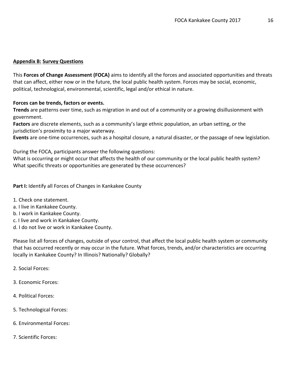#### **Appendix B: Survey Questions**

This **Forces of Change Assessment (FOCA)** aims to identify all the forces and associated opportunities and threats that can affect, either now or in the future, the local public health system. Forces may be social, economic, political, technological, environmental, scientific, legal and/or ethical in nature.

#### **Forces can be trends, factors or events.**

**Trends** are patterns over time, such as migration in and out of a community or a growing disillusionment with government.

**Factors** are discrete elements, such as a community's large ethnic population, an urban setting, or the jurisdiction's proximity to a major waterway.

**Events** are one-time occurrences, such as a hospital closure, a natural disaster, or the passage of new legislation.

During the FOCA, participants answer the following questions:

What is occurring or might occur that affects the health of our community or the local public health system? What specific threats or opportunities are generated by these occurrences?

**Part I:** Identify all Forces of Changes in Kankakee County

- 1. Check one statement.
- a. I live in Kankakee County.
- b. I work in Kankakee County.
- c. I live and work in Kankakee County.
- d. I do not live or work in Kankakee County.

Please list all forces of changes, outside of your control, that affect the local public health system or community that has occurred recently or may occur in the future. What forces, trends, and/or characteristics are occurring locally in Kankakee County? In Illinois? Nationally? Globally?

- 2. Social Forces:
- 3. Economic Forces:
- 4. Political Forces:
- 5. Technological Forces:
- 6. Environmental Forces:
- 7. Scientific Forces: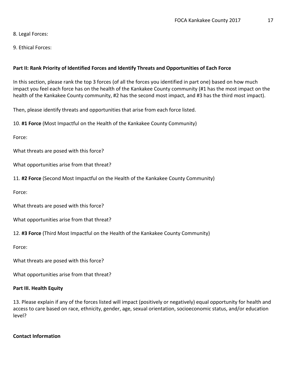8. Legal Forces:

9. Ethical Forces:

#### **Part II: Rank Priority of Identified Forces and Identify Threats and Opportunities of Each Force**

In this section, please rank the top 3 forces (of all the forces you identified in part one) based on how much impact you feel each force has on the health of the Kankakee County community (#1 has the most impact on the health of the Kankakee County community, #2 has the second most impact, and #3 has the third most impact).

Then, please identify threats and opportunities that arise from each force listed.

10. **#1 Force** (Most Impactful on the Health of the Kankakee County Community)

Force:

What threats are posed with this force?

What opportunities arise from that threat?

11. **#2 Force** (Second Most Impactful on the Health of the Kankakee County Community)

Force:

What threats are posed with this force?

What opportunities arise from that threat?

12. **#3 Force** (Third Most Impactful on the Health of the Kankakee County Community)

Force:

What threats are posed with this force?

What opportunities arise from that threat?

#### **Part III. Health Equity**

13. Please explain if any of the forces listed will impact (positively or negatively) equal opportunity for health and access to care based on race, ethnicity, gender, age, sexual orientation, socioeconomic status, and/or education level?

#### **Contact Information**